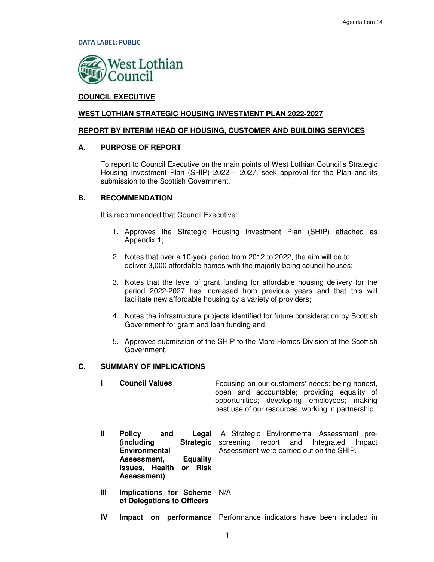DATA LABEL: PUBLIC



# **COUNCIL EXECUTIVE**

#### **WEST LOTHIAN STRATEGIC HOUSING INVESTMENT PLAN 2022-2027**

#### **REPORT BY INTERIM HEAD OF HOUSING, CUSTOMER AND BUILDING SERVICES**

#### **A. PURPOSE OF REPORT**

To report to Council Executive on the main points of West Lothian Council's Strategic Housing Investment Plan (SHIP) 2022 – 2027, seek approval for the Plan and its submission to the Scottish Government.

#### **B. RECOMMENDATION**

It is recommended that Council Executive:

- 1. Approves the Strategic Housing Investment Plan (SHIP) attached as Appendix 1;
- 2. Notes that over a 10-year period from 2012 to 2022, the aim will be to deliver 3,000 affordable homes with the majority being council houses;
- 3. Notes that the level of grant funding for affordable housing delivery for the period 2022-2027 has increased from previous years and that this will facilitate new affordable housing by a variety of providers;
- 4. Notes the infrastructure projects identified for future consideration by Scottish Government for grant and loan funding and;
- 5. Approves submission of the SHIP to the More Homes Division of the Scottish Government.

# **C. SUMMARY OF IMPLICATIONS**

|   | <b>Council Values</b>                                                                                                                                              | Focusing on our customers' needs; being honest,<br>open and accountable; providing equality of<br>opportunities; developing employees; making<br>best use of our resources; working in partnership |
|---|--------------------------------------------------------------------------------------------------------------------------------------------------------------------|----------------------------------------------------------------------------------------------------------------------------------------------------------------------------------------------------|
| Ш | <b>Policy</b><br>and<br>Legal<br>(including<br><b>Strategic</b><br><b>Environmental</b><br><b>Equality</b><br>Assessment,<br>Issues, Health or Risk<br>Assessment) | A Strategic Environmental Assessment pre-<br>screening report and Integrated<br>Impact<br>Assessment were carried out on the SHIP.                                                                 |
| Ш | Implications for Scheme<br>of Delegations to Officers                                                                                                              | N/A                                                                                                                                                                                                |

**IV Impact on performance** Performance indicators have been included in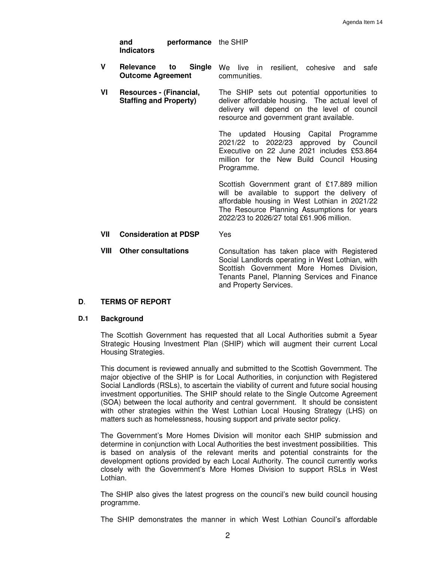| and        | <b>performance</b> the SHIP |  |
|------------|-----------------------------|--|
| Indicators |                             |  |

- **V** Relevance to **Outcome Agreement Single** We live in resilient, cohesive and safe communities.
- **VI Resources (Financial, Staffing and Property)**  The SHIP sets out potential opportunities to deliver affordable housing. The actual level of delivery will depend on the level of council resource and government grant available.

The updated Housing Capital Programme 2021/22 to 2022/23 approved by Council Executive on 22 June 2021 includes £53.864 million for the New Build Council Housing Programme.

Scottish Government grant of £17.889 million will be available to support the delivery of affordable housing in West Lothian in 2021/22 The Resource Planning Assumptions for years 2022/23 to 2026/27 total £61.906 million.

**VII Consideration at PDSP** Yes

**VIII Other consultations** Consultation has taken place with Registered Social Landlords operating in West Lothian, with Scottish Government More Homes Division, Tenants Panel, Planning Services and Finance and Property Services.

#### **D**. **TERMS OF REPORT**

#### **D.1 Background**

The Scottish Government has requested that all Local Authorities submit a 5year Strategic Housing Investment Plan (SHIP) which will augment their current Local Housing Strategies.

This document is reviewed annually and submitted to the Scottish Government. The major objective of the SHIP is for Local Authorities, in conjunction with Registered Social Landlords (RSLs), to ascertain the viability of current and future social housing investment opportunities. The SHIP should relate to the Single Outcome Agreement (SOA) between the local authority and central government. It should be consistent with other strategies within the West Lothian Local Housing Strategy (LHS) on matters such as homelessness, housing support and private sector policy.

The Government's More Homes Division will monitor each SHIP submission and determine in conjunction with Local Authorities the best investment possibilities. This is based on analysis of the relevant merits and potential constraints for the development options provided by each Local Authority. The council currently works closely with the Government's More Homes Division to support RSLs in West Lothian.

The SHIP also gives the latest progress on the council's new build council housing programme.

The SHIP demonstrates the manner in which West Lothian Council's affordable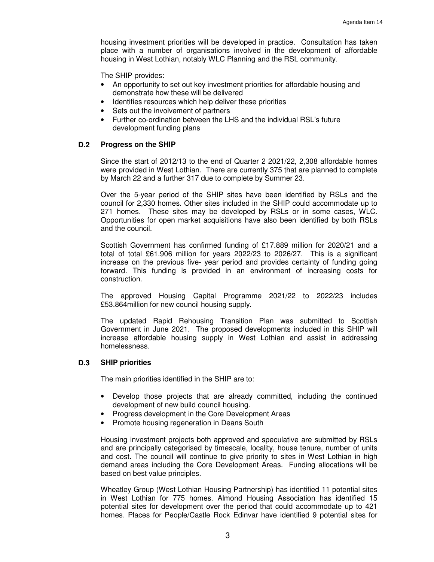housing investment priorities will be developed in practice. Consultation has taken place with a number of organisations involved in the development of affordable housing in West Lothian, notably WLC Planning and the RSL community.

The SHIP provides:

- An opportunity to set out key investment priorities for affordable housing and demonstrate how these will be delivered
- Identifies resources which help deliver these priorities
- Sets out the involvement of partners
- Further co-ordination between the LHS and the individual RSL's future development funding plans

#### **D.2 Progress on the SHIP**

Since the start of 2012/13 to the end of Quarter 2 2021/22, 2,308 affordable homes were provided in West Lothian. There are currently 375 that are planned to complete by March 22 and a further 317 due to complete by Summer 23.

Over the 5-year period of the SHIP sites have been identified by RSLs and the council for 2,330 homes. Other sites included in the SHIP could accommodate up to 271 homes. These sites may be developed by RSLs or in some cases, WLC. Opportunities for open market acquisitions have also been identified by both RSLs and the council.

Scottish Government has confirmed funding of £17.889 million for 2020/21 and a total of total £61.906 million for years 2022/23 to 2026/27. This is a significant increase on the previous five- year period and provides certainty of funding going forward. This funding is provided in an environment of increasing costs for construction.

The approved Housing Capital Programme 2021/22 to 2022/23 includes £53.864million for new council housing supply.

The updated Rapid Rehousing Transition Plan was submitted to Scottish Government in June 2021. The proposed developments included in this SHIP will increase affordable housing supply in West Lothian and assist in addressing homelessness.

#### **D.3 SHIP priorities**

The main priorities identified in the SHIP are to:

- Develop those projects that are already committed, including the continued development of new build council housing.
- Progress development in the Core Development Areas
- Promote housing regeneration in Deans South

Housing investment projects both approved and speculative are submitted by RSLs and are principally categorised by timescale, locality, house tenure, number of units and cost. The council will continue to give priority to sites in West Lothian in high demand areas including the Core Development Areas. Funding allocations will be based on best value principles.

Wheatley Group (West Lothian Housing Partnership) has identified 11 potential sites in West Lothian for 775 homes. Almond Housing Association has identified 15 potential sites for development over the period that could accommodate up to 421 homes. Places for People/Castle Rock Edinvar have identified 9 potential sites for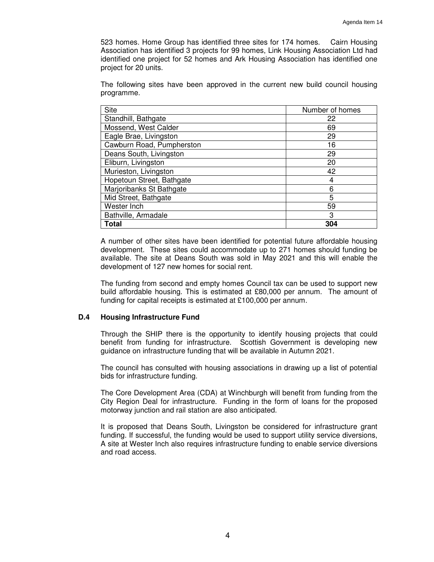523 homes. Home Group has identified three sites for 174 homes. Cairn Housing Association has identified 3 projects for 99 homes, Link Housing Association Ltd had identified one project for 52 homes and Ark Housing Association has identified one project for 20 units.

The following sites have been approved in the current new build council housing programme.

| Site                      | Number of homes |
|---------------------------|-----------------|
| Standhill, Bathgate       | 22              |
| Mossend, West Calder      | 69              |
| Eagle Brae, Livingston    | 29              |
| Cawburn Road, Pumpherston | 16              |
| Deans South, Livingston   | 29              |
| Eliburn, Livingston       | 20              |
| Murieston, Livingston     | 42              |
| Hopetoun Street, Bathgate | 4               |
| Marjoribanks St Bathgate  | 6               |
| Mid Street, Bathgate      | 5               |
| Wester Inch               | 59              |
| Bathville, Armadale       | 3               |
| Total                     | 304             |

A number of other sites have been identified for potential future affordable housing development. These sites could accommodate up to 271 homes should funding be available. The site at Deans South was sold in May 2021 and this will enable the development of 127 new homes for social rent.

The funding from second and empty homes Council tax can be used to support new build affordable housing. This is estimated at £80,000 per annum. The amount of funding for capital receipts is estimated at £100,000 per annum.

#### **D.4 Housing Infrastructure Fund**

Through the SHIP there is the opportunity to identify housing projects that could benefit from funding for infrastructure. Scottish Government is developing new guidance on infrastructure funding that will be available in Autumn 2021.

The council has consulted with housing associations in drawing up a list of potential bids for infrastructure funding.

The Core Development Area (CDA) at Winchburgh will benefit from funding from the City Region Deal for infrastructure. Funding in the form of loans for the proposed motorway junction and rail station are also anticipated.

It is proposed that Deans South, Livingston be considered for infrastructure grant funding. If successful, the funding would be used to support utility service diversions, A site at Wester Inch also requires infrastructure funding to enable service diversions and road access.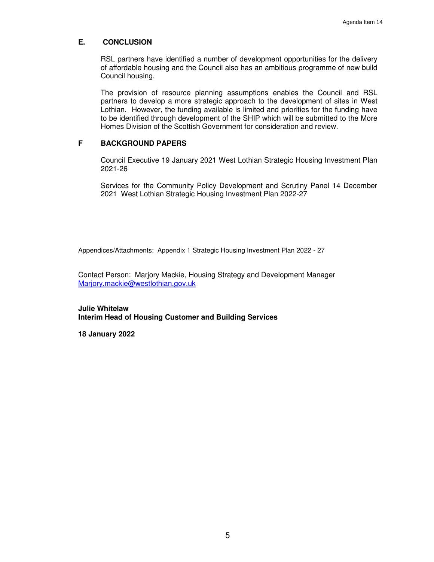# **E. CONCLUSION**

RSL partners have identified a number of development opportunities for the delivery of affordable housing and the Council also has an ambitious programme of new build Council housing.

The provision of resource planning assumptions enables the Council and RSL partners to develop a more strategic approach to the development of sites in West Lothian. However, the funding available is limited and priorities for the funding have to be identified through development of the SHIP which will be submitted to the More Homes Division of the Scottish Government for consideration and review.

# **F BACKGROUND PAPERS**

Council Executive 19 January 2021 West Lothian Strategic Housing Investment Plan 2021-26

Services for the Community Policy Development and Scrutiny Panel 14 December 2021 West Lothian Strategic Housing Investment Plan 2022-27

Appendices/Attachments: Appendix 1 Strategic Housing Investment Plan 2022 - 27

Contact Person: Marjory Mackie, Housing Strategy and Development Manager Marjory.mackie@westlothian.gov.uk

**Julie Whitelaw Interim Head of Housing Customer and Building Services** 

**18 January 2022**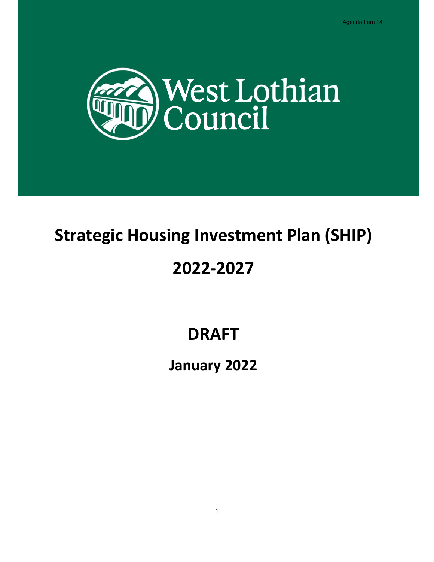

# Strategic Housing Investment Plan (SHIP)

# 2022-2027

# DRAFT

# January 2022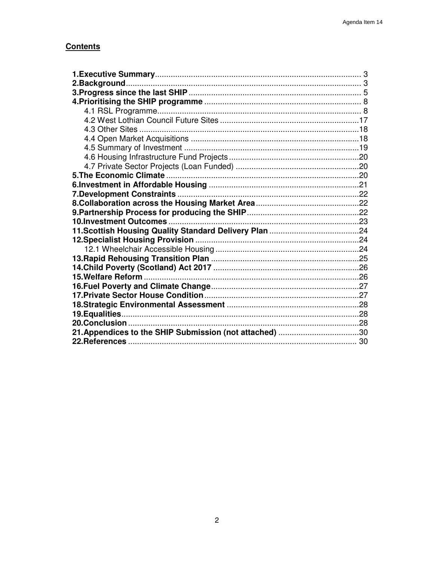# **Contents**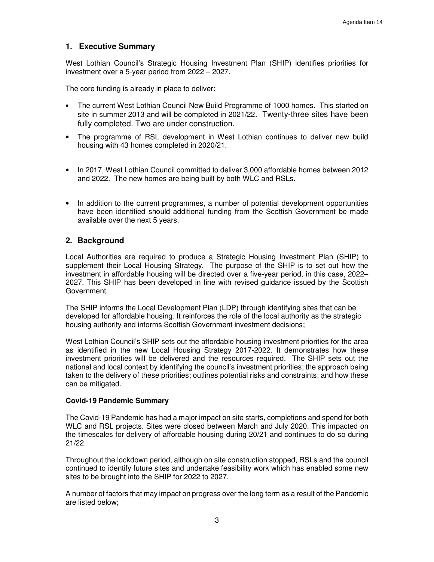# **1. Executive Summary**

West Lothian Council's Strategic Housing Investment Plan (SHIP) identifies priorities for investment over a 5-year period from 2022 – 2027.

The core funding is already in place to deliver:

- The current West Lothian Council New Build Programme of 1000 homes. This started on site in summer 2013 and will be completed in 2021/22. Twenty-three sites have been fully completed. Two are under construction.
- The programme of RSL development in West Lothian continues to deliver new build housing with 43 homes completed in 2020/21.
- In 2017, West Lothian Council committed to deliver 3,000 affordable homes between 2012 and 2022. The new homes are being built by both WLC and RSLs.
- In addition to the current programmes, a number of potential development opportunities have been identified should additional funding from the Scottish Government be made available over the next 5 years.

# **2. Background**

Local Authorities are required to produce a Strategic Housing Investment Plan (SHIP) to supplement their Local Housing Strategy. The purpose of the SHIP is to set out how the investment in affordable housing will be directed over a five-year period, in this case, 2022– 2027. This SHIP has been developed in line with revised guidance issued by the Scottish Government.

The SHIP informs the Local Development Plan (LDP) through identifying sites that can be developed for affordable housing. It reinforces the role of the local authority as the strategic housing authority and informs Scottish Government investment decisions;

West Lothian Council's SHIP sets out the affordable housing investment priorities for the area as identified in the new Local Housing Strategy 2017-2022. It demonstrates how these investment priorities will be delivered and the resources required. The SHIP sets out the national and local context by identifying the council's investment priorities; the approach being taken to the delivery of these priorities; outlines potential risks and constraints; and how these can be mitigated.

#### **Covid-19 Pandemic Summary**

The Covid-19 Pandemic has had a major impact on site starts, completions and spend for both WLC and RSL projects. Sites were closed between March and July 2020. This impacted on the timescales for delivery of affordable housing during 20/21 and continues to do so during 21/22.

Throughout the lockdown period, although on site construction stopped, RSLs and the council continued to identify future sites and undertake feasibility work which has enabled some new sites to be brought into the SHIP for 2022 to 2027.

A number of factors that may impact on progress over the long term as a result of the Pandemic are listed below;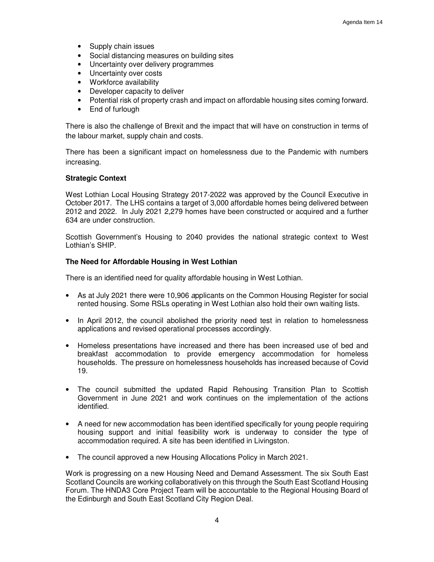- Supply chain issues
- Social distancing measures on building sites
- Uncertainty over delivery programmes
- Uncertainty over costs
- Workforce availability
- Developer capacity to deliver
- Potential risk of property crash and impact on affordable housing sites coming forward.
- End of furlough

There is also the challenge of Brexit and the impact that will have on construction in terms of the labour market, supply chain and costs.

There has been a significant impact on homelessness due to the Pandemic with numbers increasing.

#### **Strategic Context**

West Lothian Local Housing Strategy 2017-2022 was approved by the Council Executive in October 2017. The LHS contains a target of 3,000 affordable homes being delivered between 2012 and 2022. In July 2021 2,279 homes have been constructed or acquired and a further 634 are under construction.

Scottish Government's Housing to 2040 provides the national strategic context to West Lothian's SHIP.

## **The Need for Affordable Housing in West Lothian**

There is an identified need for quality affordable housing in West Lothian.

- As at July 2021 there were 10,906 applicants on the Common Housing Register for social rented housing. Some RSLs operating in West Lothian also hold their own waiting lists.
- In April 2012, the council abolished the priority need test in relation to homelessness applications and revised operational processes accordingly.
- Homeless presentations have increased and there has been increased use of bed and breakfast accommodation to provide emergency accommodation for homeless households. The pressure on homelessness households has increased because of Covid 19.
- The council submitted the updated Rapid Rehousing Transition Plan to Scottish Government in June 2021 and work continues on the implementation of the actions identified.
- A need for new accommodation has been identified specifically for young people requiring housing support and initial feasibility work is underway to consider the type of accommodation required. A site has been identified in Livingston.
- The council approved a new Housing Allocations Policy in March 2021.

Work is progressing on a new Housing Need and Demand Assessment. The six South East Scotland Councils are working collaboratively on this through the South East Scotland Housing Forum. The HNDA3 Core Project Team will be accountable to the Regional Housing Board of the Edinburgh and South East Scotland City Region Deal.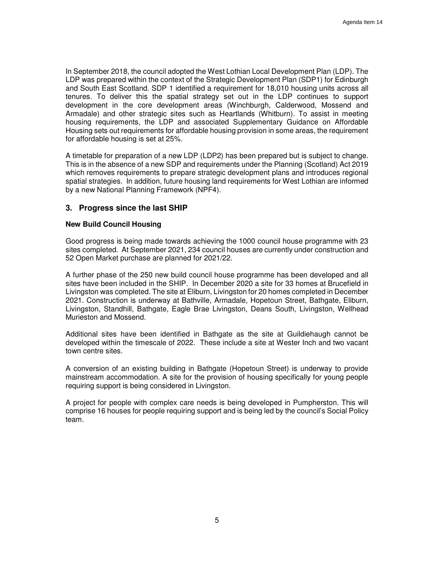In September 2018, the council adopted the West Lothian Local Development Plan (LDP). The LDP was prepared within the context of the Strategic Development Plan (SDP1) for Edinburgh and South East Scotland. SDP 1 identified a requirement for 18,010 housing units across all tenures. To deliver this the spatial strategy set out in the LDP continues to support development in the core development areas (Winchburgh, Calderwood, Mossend and Armadale) and other strategic sites such as Heartlands (Whitburn). To assist in meeting housing requirements, the LDP and associated Supplementary Guidance on Affordable Housing sets out requirements for affordable housing provision in some areas, the requirement for affordable housing is set at 25%.

A timetable for preparation of a new LDP (LDP2) has been prepared but is subject to change. This is in the absence of a new SDP and requirements under the Planning (Scotland) Act 2019 which removes requirements to prepare strategic development plans and introduces regional spatial strategies. In addition, future housing land requirements for West Lothian are informed by a new National Planning Framework (NPF4).

# **3. Progress since the last SHIP**

#### **New Build Council Housing**

Good progress is being made towards achieving the 1000 council house programme with 23 sites completed. At September 2021, 234 council houses are currently under construction and 52 Open Market purchase are planned for 2021/22.

A further phase of the 250 new build council house programme has been developed and all sites have been included in the SHIP. In December 2020 a site for 33 homes at Brucefield in Livingston was completed. The site at Eliburn, Livingston for 20 homes completed in December 2021. Construction is underway at Bathville, Armadale, Hopetoun Street, Bathgate, Eliburn, Livingston, Standhill, Bathgate, Eagle Brae Livingston, Deans South, Livingston, Wellhead Murieston and Mossend.

Additional sites have been identified in Bathgate as the site at Guildiehaugh cannot be developed within the timescale of 2022. These include a site at Wester Inch and two vacant town centre sites.

A conversion of an existing building in Bathgate (Hopetoun Street) is underway to provide mainstream accommodation. A site for the provision of housing specifically for young people requiring support is being considered in Livingston.

A project for people with complex care needs is being developed in Pumpherston. This will comprise 16 houses for people requiring support and is being led by the council's Social Policy team.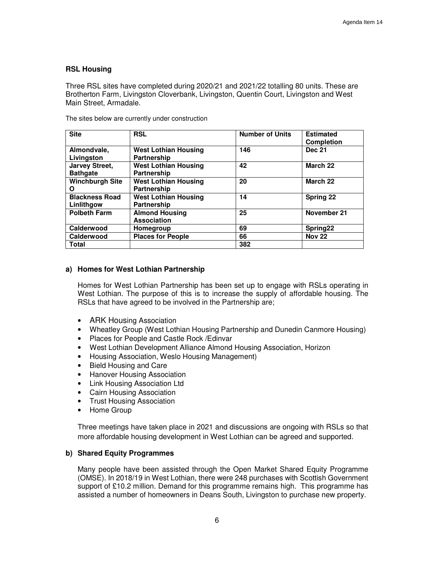#### **RSL Housing**

Three RSL sites have completed during 2020/21 and 2021/22 totalling 80 units. These are Brotherton Farm, Livingston Cloverbank, Livingston, Quentin Court, Livingston and West Main Street, Armadale.

| The sites below are currently under construction |  |
|--------------------------------------------------|--|
|--------------------------------------------------|--|

| <b>Site</b>            | <b>RSL</b>                  | <b>Number of Units</b> | <b>Estimated</b><br><b>Completion</b> |
|------------------------|-----------------------------|------------------------|---------------------------------------|
| Almondvale,            | <b>West Lothian Housing</b> | 146                    | <b>Dec 21</b>                         |
| Livingston             | <b>Partnership</b>          |                        |                                       |
| <b>Jarvey Street,</b>  | <b>West Lothian Housing</b> | 42                     | March 22                              |
| <b>Bathgate</b>        | <b>Partnership</b>          |                        |                                       |
| <b>Winchburgh Site</b> | <b>West Lothian Housing</b> | 20                     | March 22                              |
| O                      | Partnership                 |                        |                                       |
| <b>Blackness Road</b>  | <b>West Lothian Housing</b> | 14                     | <b>Spring 22</b>                      |
| Linlithgow             | <b>Partnership</b>          |                        |                                       |
| <b>Polbeth Farm</b>    | <b>Almond Housing</b>       | 25                     | November 21                           |
|                        | <b>Association</b>          |                        |                                       |
| Calderwood             | Homegroup                   | 69                     | Spring22                              |
| Calderwood             | <b>Places for People</b>    | 66                     | <b>Nov 22</b>                         |
| <b>Total</b>           |                             | 382                    |                                       |

#### **a) Homes for West Lothian Partnership**

Homes for West Lothian Partnership has been set up to engage with RSLs operating in West Lothian. The purpose of this is to increase the supply of affordable housing. The RSLs that have agreed to be involved in the Partnership are;

- ARK Housing Association
- Wheatley Group (West Lothian Housing Partnership and Dunedin Canmore Housing)
- Places for People and Castle Rock /Edinvar
- West Lothian Development Alliance Almond Housing Association, Horizon
- Housing Association, Weslo Housing Management)
- Bield Housing and Care
- Hanover Housing Association
- Link Housing Association Ltd
- Cairn Housing Association
- Trust Housing Association
- Home Group

Three meetings have taken place in 2021 and discussions are ongoing with RSLs so that more affordable housing development in West Lothian can be agreed and supported.

# **b) Shared Equity Programmes**

Many people have been assisted through the Open Market Shared Equity Programme (OMSE). In 2018/19 in West Lothian, there were 248 purchases with Scottish Government support of £10.2 million. Demand for this programme remains high. This programme has assisted a number of homeowners in Deans South, Livingston to purchase new property.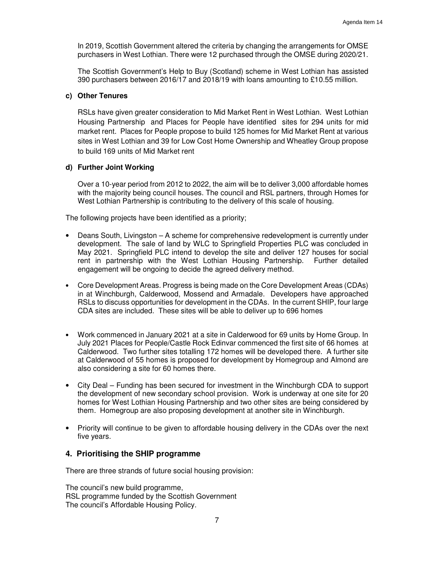In 2019, Scottish Government altered the criteria by changing the arrangements for OMSE purchasers in West Lothian. There were 12 purchased through the OMSE during 2020/21.

The Scottish Government's Help to Buy (Scotland) scheme in West Lothian has assisted 390 purchasers between 2016/17 and 2018/19 with loans amounting to £10.55 million.

#### **c) Other Tenures**

RSLs have given greater consideration to Mid Market Rent in West Lothian. West Lothian Housing Partnership and Places for People have identified sites for 294 units for mid market rent. Places for People propose to build 125 homes for Mid Market Rent at various sites in West Lothian and 39 for Low Cost Home Ownership and Wheatley Group propose to build 169 units of Mid Market rent

#### **d) Further Joint Working**

Over a 10-year period from 2012 to 2022, the aim will be to deliver 3,000 affordable homes with the majority being council houses. The council and RSL partners, through Homes for West Lothian Partnership is contributing to the delivery of this scale of housing.

The following projects have been identified as a priority;

- Deans South, Livingston A scheme for comprehensive redevelopment is currently under development. The sale of land by WLC to Springfield Properties PLC was concluded in May 2021. Springfield PLC intend to develop the site and deliver 127 houses for social rent in partnership with the West Lothian Housing Partnership. Further detailed engagement will be ongoing to decide the agreed delivery method.
- Core Development Areas. Progress is being made on the Core Development Areas (CDAs) in at Winchburgh, Calderwood, Mossend and Armadale. Developers have approached RSLs to discuss opportunities for development in the CDAs. In the current SHIP, four large CDA sites are included. These sites will be able to deliver up to 696 homes
- Work commenced in January 2021 at a site in Calderwood for 69 units by Home Group. In July 2021 Places for People/Castle Rock Edinvar commenced the first site of 66 homes at Calderwood. Two further sites totalling 172 homes will be developed there. A further site at Calderwood of 55 homes is proposed for development by Homegroup and Almond are also considering a site for 60 homes there.
- City Deal Funding has been secured for investment in the Winchburgh CDA to support the development of new secondary school provision. Work is underway at one site for 20 homes for West Lothian Housing Partnership and two other sites are being considered by them. Homegroup are also proposing development at another site in Winchburgh.
- Priority will continue to be given to affordable housing delivery in the CDAs over the next five years.

# **4. Prioritising the SHIP programme**

There are three strands of future social housing provision:

The council's new build programme, RSL programme funded by the Scottish Government The council's Affordable Housing Policy.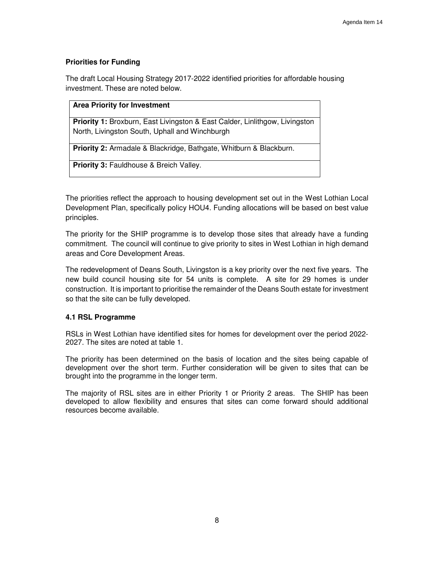# **Priorities for Funding**

The draft Local Housing Strategy 2017-2022 identified priorities for affordable housing investment. These are noted below.

| <b>Area Priority for Investment</b>                                                                                                  |
|--------------------------------------------------------------------------------------------------------------------------------------|
| <b>Priority 1:</b> Broxburn, East Livingston & East Calder, Linlithgow, Livingston<br>North, Livingston South, Uphall and Winchburgh |
| <b>Priority 2:</b> Armadale & Blackridge, Bathgate, Whitburn & Blackburn.                                                            |
| <b>Priority 3: Fauldhouse &amp; Breich Valley.</b>                                                                                   |

The priorities reflect the approach to housing development set out in the West Lothian Local Development Plan, specifically policy HOU4. Funding allocations will be based on best value principles.

The priority for the SHIP programme is to develop those sites that already have a funding commitment. The council will continue to give priority to sites in West Lothian in high demand areas and Core Development Areas.

The redevelopment of Deans South, Livingston is a key priority over the next five years. The new build council housing site for 54 units is complete. A site for 29 homes is under construction. It is important to prioritise the remainder of the Deans South estate for investment so that the site can be fully developed.

# **4.1 RSL Programme**

RSLs in West Lothian have identified sites for homes for development over the period 2022- 2027. The sites are noted at table 1.

The priority has been determined on the basis of location and the sites being capable of development over the short term. Further consideration will be given to sites that can be brought into the programme in the longer term.

The majority of RSL sites are in either Priority 1 or Priority 2 areas. The SHIP has been developed to allow flexibility and ensures that sites can come forward should additional resources become available.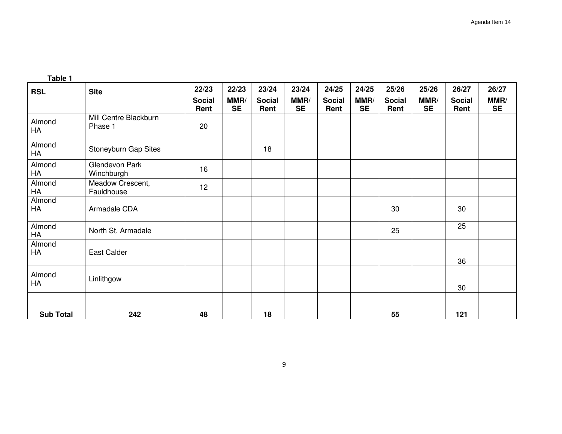|  | Table |  |
|--|-------|--|
|  |       |  |

| <b>RSL</b>       | <b>Site</b>                      | 22/23                 | 22/23             | 23/24                 | 23/24             | 24/25                 | 24/25             | 25/26                 | 25/26             | 26/27                 | 26/27             |
|------------------|----------------------------------|-----------------------|-------------------|-----------------------|-------------------|-----------------------|-------------------|-----------------------|-------------------|-----------------------|-------------------|
|                  |                                  | <b>Social</b><br>Rent | MMR/<br><b>SE</b> | <b>Social</b><br>Rent | MMR/<br><b>SE</b> | <b>Social</b><br>Rent | MMR/<br><b>SE</b> | <b>Social</b><br>Rent | MMR/<br><b>SE</b> | <b>Social</b><br>Rent | MMR/<br><b>SE</b> |
| Almond<br>HA     | Mill Centre Blackburn<br>Phase 1 | 20                    |                   |                       |                   |                       |                   |                       |                   |                       |                   |
| Almond<br>HA     | Stoneyburn Gap Sites             |                       |                   | 18                    |                   |                       |                   |                       |                   |                       |                   |
| Almond<br>HA     | Glendevon Park<br>Winchburgh     | 16                    |                   |                       |                   |                       |                   |                       |                   |                       |                   |
| Almond<br>HA     | Meadow Crescent,<br>Fauldhouse   | 12                    |                   |                       |                   |                       |                   |                       |                   |                       |                   |
| Almond<br>HA     | Armadale CDA                     |                       |                   |                       |                   |                       |                   | 30                    |                   | 30                    |                   |
| Almond<br>HA     | North St, Armadale               |                       |                   |                       |                   |                       |                   | 25                    |                   | 25                    |                   |
| Almond<br>HA     | East Calder                      |                       |                   |                       |                   |                       |                   |                       |                   | 36                    |                   |
| Almond<br>HA     | Linlithgow                       |                       |                   |                       |                   |                       |                   |                       |                   | 30                    |                   |
| <b>Sub Total</b> | 242                              | 48                    |                   | 18                    |                   |                       |                   | 55                    |                   | 121                   |                   |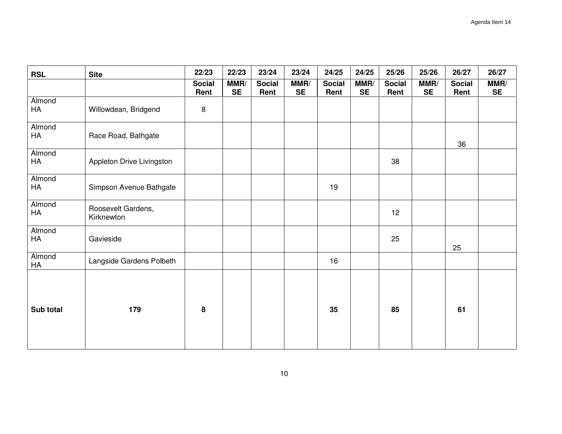| <b>RSL</b>           | <b>Site</b>                      | 22/23                 | 22/23             | 23/24                 | 23/24             | 24/25                 | 24/25             | 25/26                 | 25/26             | 26/27                 | 26/27             |
|----------------------|----------------------------------|-----------------------|-------------------|-----------------------|-------------------|-----------------------|-------------------|-----------------------|-------------------|-----------------------|-------------------|
|                      |                                  | <b>Social</b><br>Rent | MMR/<br><b>SE</b> | <b>Social</b><br>Rent | MMR/<br><b>SE</b> | <b>Social</b><br>Rent | MMR/<br><b>SE</b> | <b>Social</b><br>Rent | MMR/<br><b>SE</b> | <b>Social</b><br>Rent | MMR/<br><b>SE</b> |
| Almond<br>HA         | Willowdean, Bridgend             | 8                     |                   |                       |                   |                       |                   |                       |                   |                       |                   |
| Almond<br>HA         | Race Road, Bathgate              |                       |                   |                       |                   |                       |                   |                       |                   | 36                    |                   |
| Almond<br>HA         | Appleton Drive Livingston        |                       |                   |                       |                   |                       |                   | 38                    |                   |                       |                   |
| Almond<br>HA         | Simpson Avenue Bathgate          |                       |                   |                       |                   | 19                    |                   |                       |                   |                       |                   |
| Almond<br>${\sf HA}$ | Roosevelt Gardens,<br>Kirknewton |                       |                   |                       |                   |                       |                   | 12                    |                   |                       |                   |
| Almond<br>HA         | Gavieside                        |                       |                   |                       |                   |                       |                   | 25                    |                   | 25                    |                   |
| Almond<br>HA         | Langside Gardens Polbeth         |                       |                   |                       |                   | 16                    |                   |                       |                   |                       |                   |
| Sub total            | 179                              | 8                     |                   |                       |                   | 35                    |                   | 85                    |                   | 61                    |                   |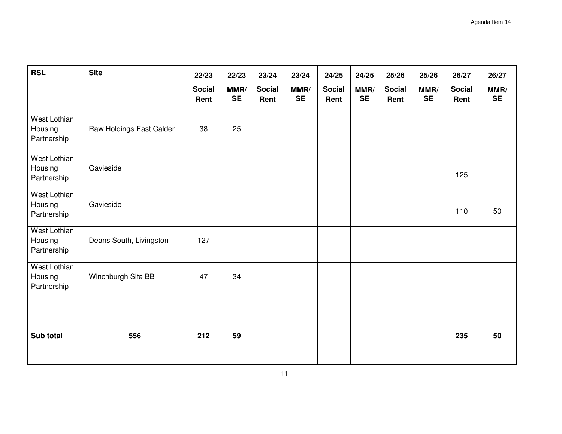| <b>RSL</b>                                    | <b>Site</b>              | 22/23                 | 22/23             | 23/24                 | 23/24             | 24/25                 | 24/25             | 25/26                 | 25/26             | 26/27                 | 26/27             |
|-----------------------------------------------|--------------------------|-----------------------|-------------------|-----------------------|-------------------|-----------------------|-------------------|-----------------------|-------------------|-----------------------|-------------------|
|                                               |                          | <b>Social</b><br>Rent | MMR/<br><b>SE</b> | <b>Social</b><br>Rent | MMR/<br><b>SE</b> | <b>Social</b><br>Rent | MMR/<br><b>SE</b> | <b>Social</b><br>Rent | MMR/<br><b>SE</b> | <b>Social</b><br>Rent | MMR/<br><b>SE</b> |
| West Lothian<br>Housing<br>Partnership        | Raw Holdings East Calder | 38                    | 25                |                       |                   |                       |                   |                       |                   |                       |                   |
| <b>West Lothian</b><br>Housing<br>Partnership | Gavieside                |                       |                   |                       |                   |                       |                   |                       |                   | 125                   |                   |
| West Lothian<br>Housing<br>Partnership        | Gavieside                |                       |                   |                       |                   |                       |                   |                       |                   | 110                   | 50                |
| West Lothian<br>Housing<br>Partnership        | Deans South, Livingston  | 127                   |                   |                       |                   |                       |                   |                       |                   |                       |                   |
| West Lothian<br>Housing<br>Partnership        | Winchburgh Site BB       | 47                    | 34                |                       |                   |                       |                   |                       |                   |                       |                   |
| Sub total                                     | 556                      | 212                   | 59                |                       |                   |                       |                   |                       |                   | 235                   | 50                |
|                                               |                          |                       |                   |                       |                   |                       |                   |                       |                   |                       |                   |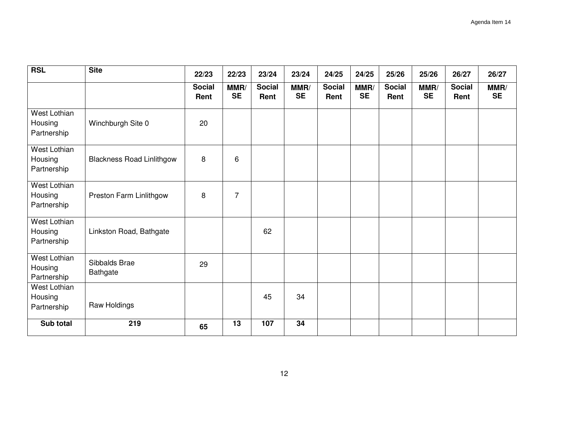| <b>RSL</b>                                    | <b>Site</b>                      | 22/23                 | 22/23             | 23/24                 | 23/24             | 24/25                 | 24/25             | 25/26                 | 25/26             | 26/27                 | 26/27             |
|-----------------------------------------------|----------------------------------|-----------------------|-------------------|-----------------------|-------------------|-----------------------|-------------------|-----------------------|-------------------|-----------------------|-------------------|
|                                               |                                  | <b>Social</b><br>Rent | MMR/<br><b>SE</b> | <b>Social</b><br>Rent | MMR/<br><b>SE</b> | <b>Social</b><br>Rent | MMR/<br><b>SE</b> | <b>Social</b><br>Rent | MMR/<br><b>SE</b> | <b>Social</b><br>Rent | MMR/<br><b>SE</b> |
| <b>West Lothian</b><br>Housing<br>Partnership | Winchburgh Site 0                | 20                    |                   |                       |                   |                       |                   |                       |                   |                       |                   |
| <b>West Lothian</b><br>Housing<br>Partnership | <b>Blackness Road Linlithgow</b> | 8                     | 6                 |                       |                   |                       |                   |                       |                   |                       |                   |
| <b>West Lothian</b><br>Housing<br>Partnership | Preston Farm Linlithgow          | 8                     | 7                 |                       |                   |                       |                   |                       |                   |                       |                   |
| <b>West Lothian</b><br>Housing<br>Partnership | Linkston Road, Bathgate          |                       |                   | 62                    |                   |                       |                   |                       |                   |                       |                   |
| <b>West Lothian</b><br>Housing<br>Partnership | Sibbalds Brae<br>Bathgate        | 29                    |                   |                       |                   |                       |                   |                       |                   |                       |                   |
| West Lothian<br>Housing<br>Partnership        | Raw Holdings                     |                       |                   | 45                    | 34                |                       |                   |                       |                   |                       |                   |
| Sub total                                     | 219                              | 65                    | 13                | 107                   | 34                |                       |                   |                       |                   |                       |                   |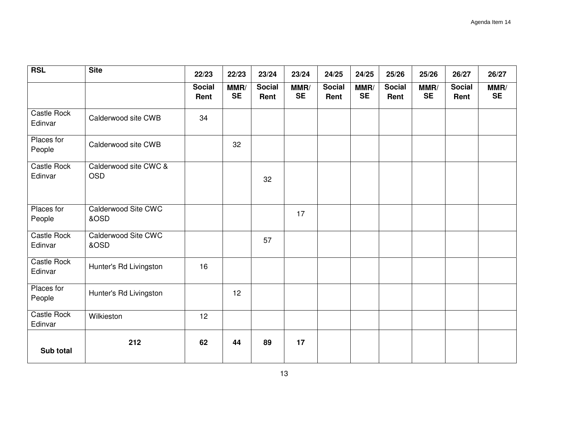| <b>RSL</b>             | <b>Site</b>                         | 22/23                 | 22/23             | 23/24                 | 23/24             | 24/25                 | 24/25             | 25/26                 | 25/26             | 26/27                 | 26/27             |
|------------------------|-------------------------------------|-----------------------|-------------------|-----------------------|-------------------|-----------------------|-------------------|-----------------------|-------------------|-----------------------|-------------------|
|                        |                                     | <b>Social</b><br>Rent | MMR/<br><b>SE</b> | <b>Social</b><br>Rent | MMR/<br><b>SE</b> | <b>Social</b><br>Rent | MMR/<br><b>SE</b> | <b>Social</b><br>Rent | MMR/<br><b>SE</b> | <b>Social</b><br>Rent | MMR/<br><b>SE</b> |
| Castle Rock<br>Edinvar | Calderwood site CWB                 | 34                    |                   |                       |                   |                       |                   |                       |                   |                       |                   |
| Places for<br>People   | Calderwood site CWB                 |                       | 32                |                       |                   |                       |                   |                       |                   |                       |                   |
| Castle Rock<br>Edinvar | Calderwood site CWC &<br><b>OSD</b> |                       |                   | 32                    |                   |                       |                   |                       |                   |                       |                   |
| Places for<br>People   | Calderwood Site CWC<br>&OSD         |                       |                   |                       | 17                |                       |                   |                       |                   |                       |                   |
| Castle Rock<br>Edinvar | Calderwood Site CWC<br>&OSD         |                       |                   | 57                    |                   |                       |                   |                       |                   |                       |                   |
| Castle Rock<br>Edinvar | Hunter's Rd Livingston              | 16                    |                   |                       |                   |                       |                   |                       |                   |                       |                   |
| Places for<br>People   | Hunter's Rd Livingston              |                       | 12                |                       |                   |                       |                   |                       |                   |                       |                   |
| Castle Rock<br>Edinvar | Wilkieston                          | 12                    |                   |                       |                   |                       |                   |                       |                   |                       |                   |
| Sub total              | 212                                 | 62                    | 44                | 89                    | 17                |                       |                   |                       |                   |                       |                   |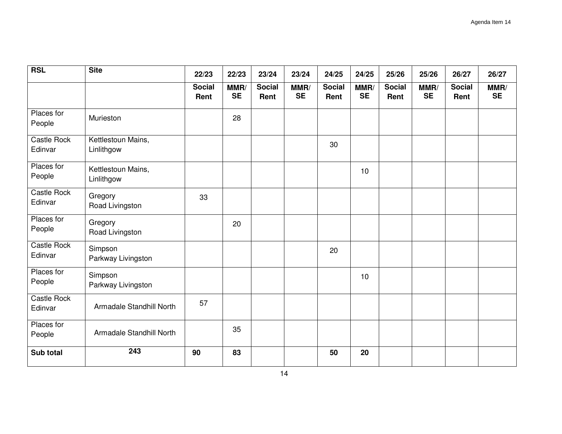| <b>RSL</b>             | <b>Site</b>                      | 22/23                 | 22/23             | 23/24                 | 23/24             | 24/25                 | 24/25             | 25/26                 | 25/26             | 26/27                 | 26/27             |
|------------------------|----------------------------------|-----------------------|-------------------|-----------------------|-------------------|-----------------------|-------------------|-----------------------|-------------------|-----------------------|-------------------|
|                        |                                  | <b>Social</b><br>Rent | MMR/<br><b>SE</b> | <b>Social</b><br>Rent | MMR/<br><b>SE</b> | <b>Social</b><br>Rent | MMR/<br><b>SE</b> | <b>Social</b><br>Rent | MMR/<br><b>SE</b> | <b>Social</b><br>Rent | MMR/<br><b>SE</b> |
| Places for<br>People   | Murieston                        |                       | 28                |                       |                   |                       |                   |                       |                   |                       |                   |
| Castle Rock<br>Edinvar | Kettlestoun Mains,<br>Linlithgow |                       |                   |                       |                   | 30                    |                   |                       |                   |                       |                   |
| Places for<br>People   | Kettlestoun Mains,<br>Linlithgow |                       |                   |                       |                   |                       | 10                |                       |                   |                       |                   |
| Castle Rock<br>Edinvar | Gregory<br>Road Livingston       | 33                    |                   |                       |                   |                       |                   |                       |                   |                       |                   |
| Places for<br>People   | Gregory<br>Road Livingston       |                       | 20                |                       |                   |                       |                   |                       |                   |                       |                   |
| Castle Rock<br>Edinvar | Simpson<br>Parkway Livingston    |                       |                   |                       |                   | 20                    |                   |                       |                   |                       |                   |
| Places for<br>People   | Simpson<br>Parkway Livingston    |                       |                   |                       |                   |                       | 10                |                       |                   |                       |                   |
| Castle Rock<br>Edinvar | Armadale Standhill North         | 57                    |                   |                       |                   |                       |                   |                       |                   |                       |                   |
| Places for<br>People   | Armadale Standhill North         |                       | 35                |                       |                   |                       |                   |                       |                   |                       |                   |
| Sub total              | 243                              | 90                    | 83                |                       |                   | 50                    | 20                |                       |                   |                       |                   |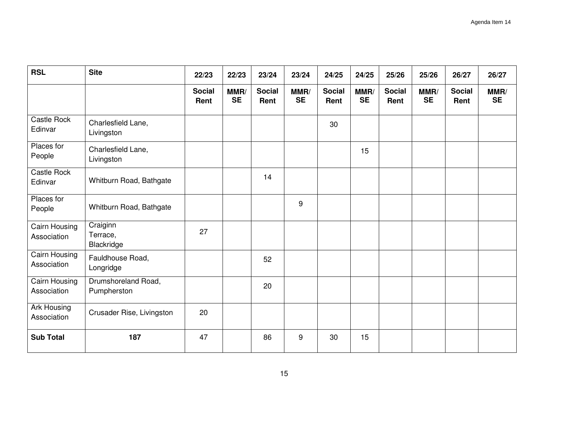| <b>RSL</b>                   | <b>Site</b>                        | 22/23                 | 22/23             | 23/24                 | 23/24             | 24/25                 | 24/25             | 25/26                 | 25/26             | 26/27                 | 26/27             |
|------------------------------|------------------------------------|-----------------------|-------------------|-----------------------|-------------------|-----------------------|-------------------|-----------------------|-------------------|-----------------------|-------------------|
|                              |                                    | <b>Social</b><br>Rent | MMR/<br><b>SE</b> | <b>Social</b><br>Rent | MMR/<br><b>SE</b> | <b>Social</b><br>Rent | MMR/<br><b>SE</b> | <b>Social</b><br>Rent | MMR/<br><b>SE</b> | <b>Social</b><br>Rent | MMR/<br><b>SE</b> |
| Castle Rock<br>Edinvar       | Charlesfield Lane,<br>Livingston   |                       |                   |                       |                   | 30                    |                   |                       |                   |                       |                   |
| Places for<br>People         | Charlesfield Lane,<br>Livingston   |                       |                   |                       |                   |                       | 15                |                       |                   |                       |                   |
| Castle Rock<br>Edinvar       | Whitburn Road, Bathgate            |                       |                   | 14                    |                   |                       |                   |                       |                   |                       |                   |
| Places for<br>People         | Whitburn Road, Bathgate            |                       |                   |                       | 9                 |                       |                   |                       |                   |                       |                   |
| Cairn Housing<br>Association | Craiginn<br>Terrace,<br>Blackridge | 27                    |                   |                       |                   |                       |                   |                       |                   |                       |                   |
| Cairn Housing<br>Association | Fauldhouse Road,<br>Longridge      |                       |                   | 52                    |                   |                       |                   |                       |                   |                       |                   |
| Cairn Housing<br>Association | Drumshoreland Road,<br>Pumpherston |                       |                   | 20                    |                   |                       |                   |                       |                   |                       |                   |
| Ark Housing<br>Association   | Crusader Rise, Livingston          | 20                    |                   |                       |                   |                       |                   |                       |                   |                       |                   |
| <b>Sub Total</b>             | 187                                | 47                    |                   | 86                    | 9                 | 30                    | 15                |                       |                   |                       |                   |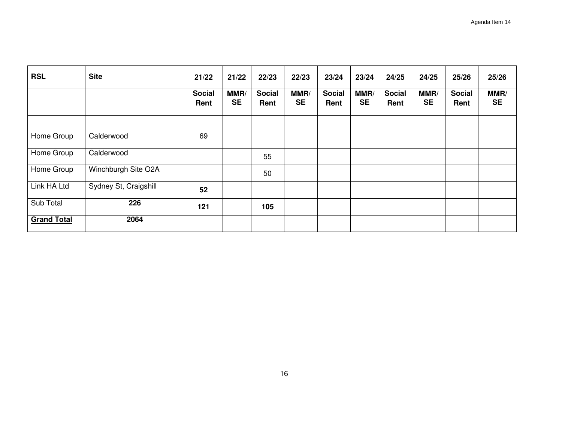| <b>RSL</b>         | <b>Site</b>           | 21/22                 | 21/22             | 22/23                 | 22/23             | 23/24                 | 23/24             | 24/25                 | 24/25             | 25/26                 | 25/26             |
|--------------------|-----------------------|-----------------------|-------------------|-----------------------|-------------------|-----------------------|-------------------|-----------------------|-------------------|-----------------------|-------------------|
|                    |                       | <b>Social</b><br>Rent | MMR/<br><b>SE</b> | <b>Social</b><br>Rent | MMR/<br><b>SE</b> | <b>Social</b><br>Rent | MMR/<br><b>SE</b> | <b>Social</b><br>Rent | MMR/<br><b>SE</b> | <b>Social</b><br>Rent | MMR/<br><b>SE</b> |
| Home Group         | Calderwood            | 69                    |                   |                       |                   |                       |                   |                       |                   |                       |                   |
| Home Group         | Calderwood            |                       |                   | 55                    |                   |                       |                   |                       |                   |                       |                   |
| Home Group         | Winchburgh Site O2A   |                       |                   | 50                    |                   |                       |                   |                       |                   |                       |                   |
| Link HA Ltd        | Sydney St, Craigshill | 52                    |                   |                       |                   |                       |                   |                       |                   |                       |                   |
| Sub Total          | 226                   | 121                   |                   | 105                   |                   |                       |                   |                       |                   |                       |                   |
| <b>Grand Total</b> | 2064                  |                       |                   |                       |                   |                       |                   |                       |                   |                       |                   |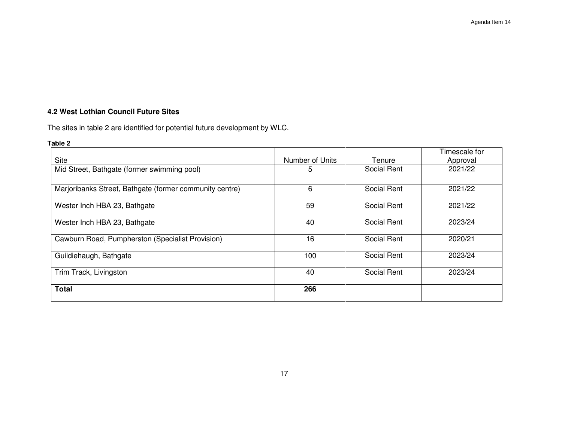# **4.2 West Lothian Council Future Sites**

The sites in table 2 are identified for potential future development by WLC.

# **Table 2**

|                                                         |                 |             | Timescale for |
|---------------------------------------------------------|-----------------|-------------|---------------|
| <b>Site</b>                                             | Number of Units | Tenure      | Approval      |
| Mid Street, Bathgate (former swimming pool)             | 5               | Social Rent | 2021/22       |
|                                                         |                 |             |               |
| Marjoribanks Street, Bathgate (former community centre) | 6               | Social Rent | 2021/22       |
|                                                         |                 |             |               |
| Wester Inch HBA 23, Bathgate                            | 59              | Social Rent | 2021/22       |
|                                                         |                 |             |               |
| Wester Inch HBA 23, Bathgate                            | 40              | Social Rent | 2023/24       |
|                                                         |                 |             |               |
| Cawburn Road, Pumpherston (Specialist Provision)        | 16              | Social Rent | 2020/21       |
|                                                         |                 |             |               |
| Guildiehaugh, Bathgate                                  | 100             | Social Rent | 2023/24       |
|                                                         | 40              | Social Rent | 2023/24       |
| Trim Track, Livingston                                  |                 |             |               |
| <b>Total</b>                                            | 266             |             |               |
|                                                         |                 |             |               |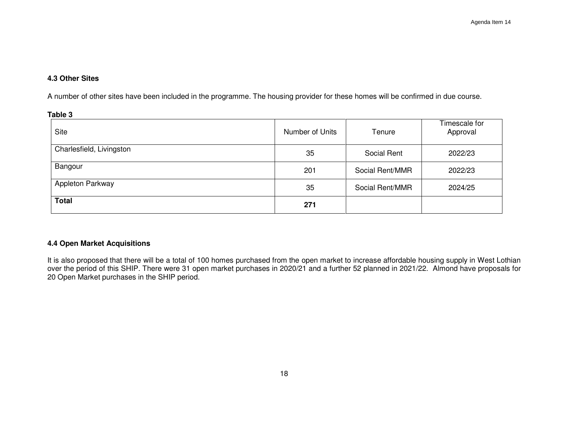# **4.3 Other Sites**

A number of other sites have been included in the programme. The housing provider for these homes will be confirmed in due course.

| Table 3                  |                 |                 |                           |
|--------------------------|-----------------|-----------------|---------------------------|
| <b>Site</b>              | Number of Units | Tenure          | Timescale for<br>Approval |
| Charlesfield, Livingston | 35              | Social Rent     | 2022/23                   |
| Bangour                  | 201             | Social Rent/MMR | 2022/23                   |
| Appleton Parkway         | 35              | Social Rent/MMR | 2024/25                   |
| <b>Total</b>             | 271             |                 |                           |

# **4.4 Open Market Acquisitions**

It is also proposed that there will be a total of 100 homes purchased from the open market to increase affordable housing supply in West Lothian over the period of this SHIP. There were 31 open market purchases in 2020/21 and a further 52 planned in 2021/22. Almond have proposals for 20 Open Market purchases in the SHIP period.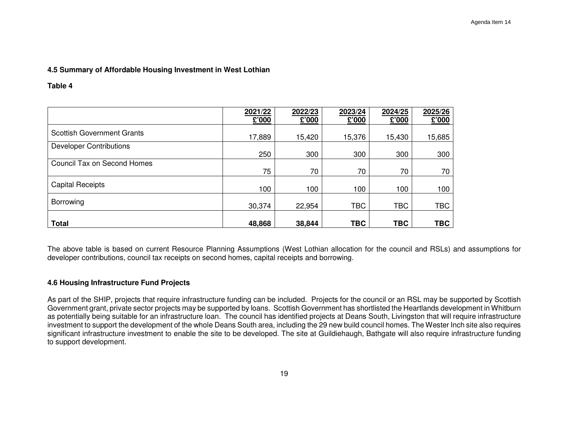# **4.5 Summary of Affordable Housing Investment in West Lothian**

**Table 4** 

|                                   | 2021/22<br>£'000 | 2022/23<br>£'000 | 2023/24<br>£'000 | 2024/25<br>£'000 | 2025/26<br>000'3 |
|-----------------------------------|------------------|------------------|------------------|------------------|------------------|
| <b>Scottish Government Grants</b> | 17,889           | 15,420           | 15,376           | 15,430           | 15,685           |
| <b>Developer Contributions</b>    | 250              | 300              | 300              | 300              | 300              |
| Council Tax on Second Homes       | 75               | 70               | 70               | 70               | 70               |
| <b>Capital Receipts</b>           | 100              | 100              | 100              | 100              | 100              |
| Borrowing                         | 30,374           | 22,954           | <b>TBC</b>       | <b>TBC</b>       | <b>TBC</b>       |
| <b>Total</b>                      | 48,868           | 38,844           | <b>TBC</b>       | <b>TBC</b>       | <b>TBC</b>       |

The above table is based on current Resource Planning Assumptions (West Lothian allocation for the council and RSLs) and assumptions for developer contributions, council tax receipts on second homes, capital receipts and borrowing.

# **4.6 Housing Infrastructure Fund Projects**

As part of the SHIP, projects that require infrastructure funding can be included. Projects for the council or an RSL may be supported by Scottish Government grant, private sector projects may be supported by loans. Scottish Government has shortlisted the Heartlands development in Whitburn as potentially being suitable for an infrastructure loan. The council has identified projects at Deans South, Livingston that will require infrastructure investment to support the development of the whole Deans South area, including the 29 new build council homes. The Wester Inch site also requires significant infrastructure investment to enable the site to be developed. The site at Guildiehaugh, Bathgate will also require infrastructure funding to support development.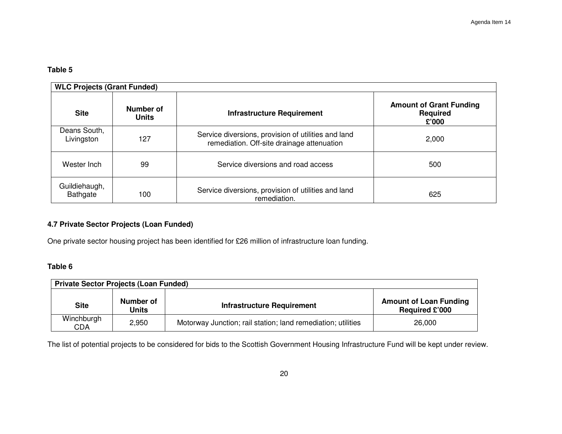# **Table 5**

|                            | <b>WLC Projects (Grant Funded)</b> |                                                                                                   |                                                            |  |  |  |  |  |  |
|----------------------------|------------------------------------|---------------------------------------------------------------------------------------------------|------------------------------------------------------------|--|--|--|--|--|--|
| <b>Site</b>                | Number of<br><b>Units</b>          | <b>Infrastructure Requirement</b>                                                                 | <b>Amount of Grant Funding</b><br><b>Required</b><br>£'000 |  |  |  |  |  |  |
| Deans South,<br>Livingston | 127                                | Service diversions, provision of utilities and land<br>remediation. Off-site drainage attenuation | 2,000                                                      |  |  |  |  |  |  |
| Wester Inch                | 99                                 | Service diversions and road access                                                                | 500                                                        |  |  |  |  |  |  |
| Guildiehaugh,<br>Bathgate  | 100                                | Service diversions, provision of utilities and land<br>remediation.                               | 625                                                        |  |  |  |  |  |  |

# **4.7 Private Sector Projects (Loan Funded)**

One private sector housing project has been identified for £26 million of infrastructure loan funding.

# **Table 6**

| <b>Private Sector Projects (Loan Funded)</b> |                           |                                                              |                                                        |  |  |  |  |  |
|----------------------------------------------|---------------------------|--------------------------------------------------------------|--------------------------------------------------------|--|--|--|--|--|
| <b>Site</b>                                  | Number of<br><b>Units</b> | <b>Infrastructure Requirement</b>                            | <b>Amount of Loan Funding</b><br><b>Required £'000</b> |  |  |  |  |  |
| Winchburgh<br><b>CDA</b>                     | 2,950                     | Motorway Junction; rail station; land remediation; utilities | 26,000                                                 |  |  |  |  |  |

The list of potential projects to be considered for bids to the Scottish Government Housing Infrastructure Fund will be kept under review.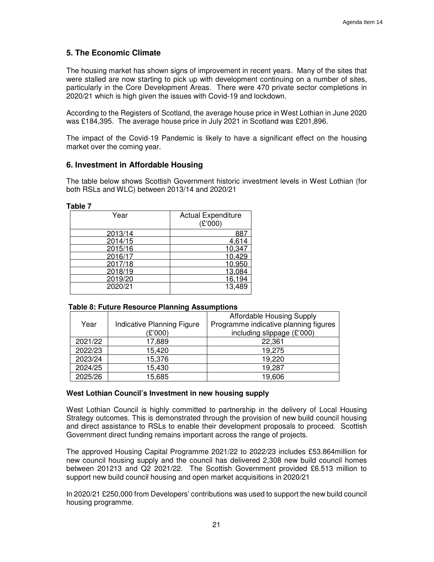# **5. The Economic Climate**

The housing market has shown signs of improvement in recent years. Many of the sites that were stalled are now starting to pick up with development continuing on a number of sites, particularly in the Core Development Areas. There were 470 private sector completions in 2020/21 which is high given the issues with Covid-19 and lockdown.

According to the Registers of Scotland, the average house price in West Lothian in June 2020 was £184,395. The average house price in July 2021 in Scotland was £201,896.

The impact of the Covid-19 Pandemic is likely to have a significant effect on the housing market over the coming year.

# **6. Investment in Affordable Housing**

The table below shows Scottish Government historic investment levels in West Lothian (for both RSLs and WLC) between 2013/14 and 2020/21

| Year    | <b>Actual Expenditure</b><br>(E'000) |
|---------|--------------------------------------|
| 2013/14 | 88                                   |
| 2014/15 | 4.614                                |
| 2015/16 | 10.347                               |
| 2016/17 | 10.429                               |
| 2017/18 | 10,950                               |
| 2018/19 | 13,084                               |
| 2019/20 | 16,194                               |
| 2020/21 | 13.489                               |

# **Table 7**

#### **Table 8: Future Resource Planning Assumptions**

|         |                            | Affordable Housing Supply             |
|---------|----------------------------|---------------------------------------|
| Year    | Indicative Planning Figure | Programme indicative planning figures |
|         | (£'000)                    | including slippage $(E'000)$          |
| 2021/22 | 17,889                     | 22,361                                |
| 2022/23 | 15,420                     | 19,275                                |
| 2023/24 | 15,376                     | 19,220                                |
| 2024/25 | 15,430                     | 19,287                                |
| 2025/26 | 15,685                     | 19,606                                |

#### **West Lothian Council's Investment in new housing supply**

West Lothian Council is highly committed to partnership in the delivery of Local Housing Strategy outcomes. This is demonstrated through the provision of new build council housing and direct assistance to RSLs to enable their development proposals to proceed. Scottish Government direct funding remains important across the range of projects.

The approved Housing Capital Programme 2021/22 to 2022/23 includes £53.864million for new council housing supply and the council has delivered 2,308 new build council homes between 201213 and Q2 2021/22. The Scottish Government provided £6.513 million to support new build council housing and open market acquisitions in 2020/21

In 2020/21 £250,000 from Developers' contributions was used to support the new build council housing programme.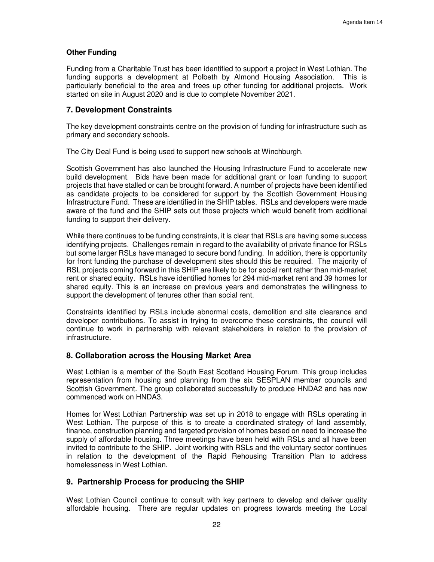## **Other Funding**

Funding from a Charitable Trust has been identified to support a project in West Lothian. The funding supports a development at Polbeth by Almond Housing Association. This is particularly beneficial to the area and frees up other funding for additional projects. Work started on site in August 2020 and is due to complete November 2021.

# **7. Development Constraints**

The key development constraints centre on the provision of funding for infrastructure such as primary and secondary schools.

The City Deal Fund is being used to support new schools at Winchburgh.

Scottish Government has also launched the Housing Infrastructure Fund to accelerate new build development. Bids have been made for additional grant or loan funding to support projects that have stalled or can be brought forward. A number of projects have been identified as candidate projects to be considered for support by the Scottish Government Housing Infrastructure Fund. These are identified in the SHIP tables. RSLs and developers were made aware of the fund and the SHIP sets out those projects which would benefit from additional funding to support their delivery.

While there continues to be funding constraints, it is clear that RSLs are having some success identifying projects. Challenges remain in regard to the availability of private finance for RSLs but some larger RSLs have managed to secure bond funding. In addition, there is opportunity for front funding the purchase of development sites should this be required. The majority of RSL projects coming forward in this SHIP are likely to be for social rent rather than mid-market rent or shared equity. RSLs have identified homes for 294 mid-market rent and 39 homes for shared equity. This is an increase on previous years and demonstrates the willingness to support the development of tenures other than social rent.

Constraints identified by RSLs include abnormal costs, demolition and site clearance and developer contributions. To assist in trying to overcome these constraints, the council will continue to work in partnership with relevant stakeholders in relation to the provision of infrastructure.

# **8. Collaboration across the Housing Market Area**

West Lothian is a member of the South East Scotland Housing Forum. This group includes representation from housing and planning from the six SESPLAN member councils and Scottish Government. The group collaborated successfully to produce HNDA2 and has now commenced work on HNDA3.

Homes for West Lothian Partnership was set up in 2018 to engage with RSLs operating in West Lothian. The purpose of this is to create a coordinated strategy of land assembly, finance, construction planning and targeted provision of homes based on need to increase the supply of affordable housing. Three meetings have been held with RSLs and all have been invited to contribute to the SHIP. Joint working with RSLs and the voluntary sector continues in relation to the development of the Rapid Rehousing Transition Plan to address homelessness in West Lothian.

# **9. Partnership Process for producing the SHIP**

West Lothian Council continue to consult with key partners to develop and deliver quality affordable housing. There are regular updates on progress towards meeting the Local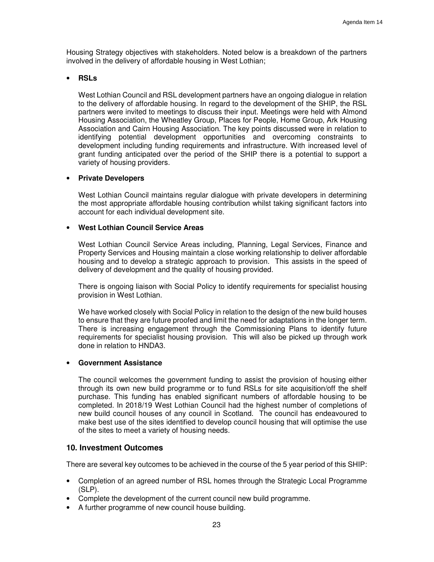Housing Strategy objectives with stakeholders. Noted below is a breakdown of the partners involved in the delivery of affordable housing in West Lothian;

#### • **RSLs**

West Lothian Council and RSL development partners have an ongoing dialogue in relation to the delivery of affordable housing. In regard to the development of the SHIP, the RSL partners were invited to meetings to discuss their input. Meetings were held with Almond Housing Association, the Wheatley Group, Places for People, Home Group, Ark Housing Association and Cairn Housing Association. The key points discussed were in relation to identifying potential development opportunities and overcoming constraints to development including funding requirements and infrastructure. With increased level of grant funding anticipated over the period of the SHIP there is a potential to support a variety of housing providers.

# • **Private Developers**

West Lothian Council maintains regular dialogue with private developers in determining the most appropriate affordable housing contribution whilst taking significant factors into account for each individual development site.

# • **West Lothian Council Service Areas**

West Lothian Council Service Areas including, Planning, Legal Services, Finance and Property Services and Housing maintain a close working relationship to deliver affordable housing and to develop a strategic approach to provision. This assists in the speed of delivery of development and the quality of housing provided.

There is ongoing liaison with Social Policy to identify requirements for specialist housing provision in West Lothian.

We have worked closely with Social Policy in relation to the design of the new build houses to ensure that they are future proofed and limit the need for adaptations in the longer term. There is increasing engagement through the Commissioning Plans to identify future requirements for specialist housing provision. This will also be picked up through work done in relation to HNDA3.

#### • **Government Assistance**

The council welcomes the government funding to assist the provision of housing either through its own new build programme or to fund RSLs for site acquisition/off the shelf purchase. This funding has enabled significant numbers of affordable housing to be completed. In 2018/19 West Lothian Council had the highest number of completions of new build council houses of any council in Scotland. The council has endeavoured to make best use of the sites identified to develop council housing that will optimise the use of the sites to meet a variety of housing needs.

# **10. Investment Outcomes**

There are several key outcomes to be achieved in the course of the 5 year period of this SHIP:

- Completion of an agreed number of RSL homes through the Strategic Local Programme (SLP).
- Complete the development of the current council new build programme.
- A further programme of new council house building.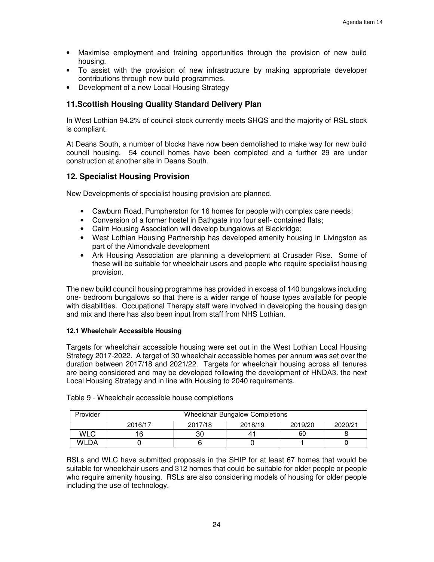- Maximise employment and training opportunities through the provision of new build housing.
- To assist with the provision of new infrastructure by making appropriate developer contributions through new build programmes.
- Development of a new Local Housing Strategy

# **11.Scottish Housing Quality Standard Delivery Plan**

In West Lothian 94.2% of council stock currently meets SHQS and the majority of RSL stock is compliant.

At Deans South, a number of blocks have now been demolished to make way for new build council housing. 54 council homes have been completed and a further 29 are under construction at another site in Deans South.

# **12. Specialist Housing Provision**

New Developments of specialist housing provision are planned.

- Cawburn Road, Pumpherston for 16 homes for people with complex care needs;
- Conversion of a former hostel in Bathgate into four self- contained flats;
- Cairn Housing Association will develop bungalows at Blackridge;
- West Lothian Housing Partnership has developed amenity housing in Livingston as part of the Almondvale development
- Ark Housing Association are planning a development at Crusader Rise. Some of these will be suitable for wheelchair users and people who require specialist housing provision.

The new build council housing programme has provided in excess of 140 bungalows including one- bedroom bungalows so that there is a wider range of house types available for people with disabilities. Occupational Therapy staff were involved in developing the housing design and mix and there has also been input from staff from NHS Lothian.

#### **12.1 Wheelchair Accessible Housing**

Targets for wheelchair accessible housing were set out in the West Lothian Local Housing Strategy 2017-2022. A target of 30 wheelchair accessible homes per annum was set over the duration between 2017/18 and 2021/22. Targets for wheelchair housing across all tenures are being considered and may be developed following the development of HNDA3. the next Local Housing Strategy and in line with Housing to 2040 requirements.

| Provider | <b>Wheelchair Bungalow Completions</b> |         |         |         |         |  |  |
|----------|----------------------------------------|---------|---------|---------|---------|--|--|
|          | 2016/17                                | 2017/18 | 2018/19 | 2019/20 | 2020/21 |  |  |
| WLC      | 6                                      |         |         | 60      |         |  |  |
| WLDA     |                                        |         |         |         |         |  |  |

Table 9 - Wheelchair accessible house completions

RSLs and WLC have submitted proposals in the SHIP for at least 67 homes that would be suitable for wheelchair users and 312 homes that could be suitable for older people or people who require amenity housing. RSLs are also considering models of housing for older people including the use of technology.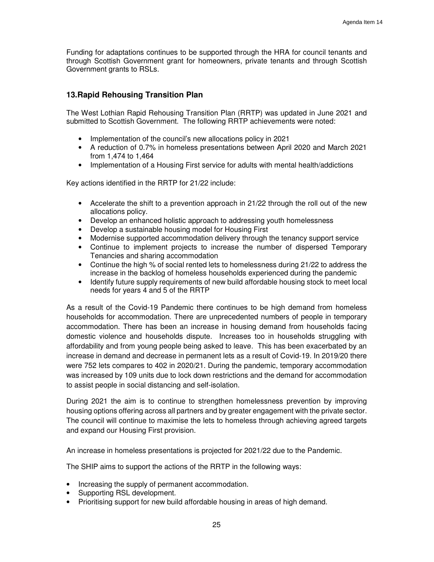Funding for adaptations continues to be supported through the HRA for council tenants and through Scottish Government grant for homeowners, private tenants and through Scottish Government grants to RSLs.

# **13.Rapid Rehousing Transition Plan**

The West Lothian Rapid Rehousing Transition Plan (RRTP) was updated in June 2021 and submitted to Scottish Government. The following RRTP achievements were noted:

- Implementation of the council's new allocations policy in 2021
- A reduction of 0.7% in homeless presentations between April 2020 and March 2021 from 1,474 to 1,464
- Implementation of a Housing First service for adults with mental health/addictions

Key actions identified in the RRTP for 21/22 include:

- Accelerate the shift to a prevention approach in 21/22 through the roll out of the new allocations policy.
- Develop an enhanced holistic approach to addressing youth homelessness
- Develop a sustainable housing model for Housing First
- Modernise supported accommodation delivery through the tenancy support service
- Continue to implement projects to increase the number of dispersed Temporary Tenancies and sharing accommodation
- Continue the high % of social rented lets to homelessness during 21/22 to address the increase in the backlog of homeless households experienced during the pandemic
- Identify future supply requirements of new build affordable housing stock to meet local needs for years 4 and 5 of the RRTP

As a result of the Covid-19 Pandemic there continues to be high demand from homeless households for accommodation. There are unprecedented numbers of people in temporary accommodation. There has been an increase in housing demand from households facing domestic violence and households dispute. Increases too in households struggling with affordability and from young people being asked to leave. This has been exacerbated by an increase in demand and decrease in permanent lets as a result of Covid-19. In 2019/20 there were 752 lets compares to 402 in 2020/21. During the pandemic, temporary accommodation was increased by 109 units due to lock down restrictions and the demand for accommodation to assist people in social distancing and self-isolation.

During 2021 the aim is to continue to strengthen homelessness prevention by improving housing options offering across all partners and by greater engagement with the private sector. The council will continue to maximise the lets to homeless through achieving agreed targets and expand our Housing First provision.

An increase in homeless presentations is projected for 2021/22 due to the Pandemic.

The SHIP aims to support the actions of the RRTP in the following ways:

- Increasing the supply of permanent accommodation.
- Supporting RSL development.
- Prioritising support for new build affordable housing in areas of high demand.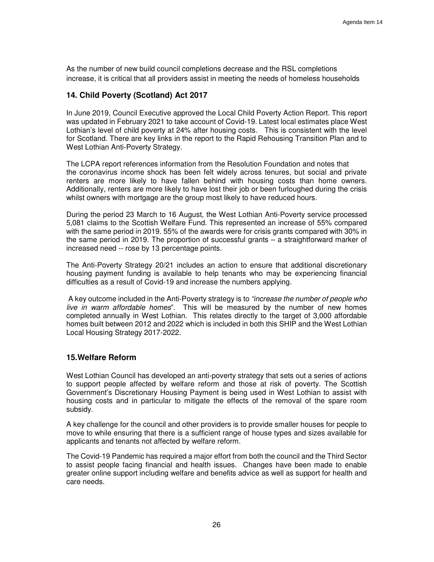As the number of new build council completions decrease and the RSL completions increase, it is critical that all providers assist in meeting the needs of homeless households

# **14. Child Poverty (Scotland) Act 2017**

In June 2019, Council Executive approved the Local Child Poverty Action Report. This report was updated in February 2021 to take account of Covid-19. Latest local estimates place West Lothian's level of child poverty at 24% after housing costs. This is consistent with the level for Scotland. There are key links in the report to the Rapid Rehousing Transition Plan and to West Lothian Anti-Poverty Strategy.

The LCPA report references information from the Resolution Foundation and notes that the coronavirus income shock has been felt widely across tenures, but social and private renters are more likely to have fallen behind with housing costs than home owners. Additionally, renters are more likely to have lost their job or been furloughed during the crisis whilst owners with mortgage are the group most likely to have reduced hours.

During the period 23 March to 16 August, the West Lothian Anti-Poverty service processed 5,081 claims to the Scottish Welfare Fund. This represented an increase of 55% compared with the same period in 2019. 55% of the awards were for crisis grants compared with 30% in the same period in 2019. The proportion of successful grants – a straightforward marker of increased need -- rose by 13 percentage points.

The Anti-Poverty Strategy 20/21 includes an action to ensure that additional discretionary housing payment funding is available to help tenants who may be experiencing financial difficulties as a result of Covid-19 and increase the numbers applying.

 A key outcome included in the Anti-Poverty strategy is to "increase the number of people who live in warm affordable homes". This will be measured by the number of new homes completed annually in West Lothian. This relates directly to the target of 3,000 affordable homes built between 2012 and 2022 which is included in both this SHIP and the West Lothian Local Housing Strategy 2017-2022.

#### **15.Welfare Reform**

West Lothian Council has developed an anti-poverty strategy that sets out a series of actions to support people affected by welfare reform and those at risk of poverty. The Scottish Government's Discretionary Housing Payment is being used in West Lothian to assist with housing costs and in particular to mitigate the effects of the removal of the spare room subsidy.

A key challenge for the council and other providers is to provide smaller houses for people to move to while ensuring that there is a sufficient range of house types and sizes available for applicants and tenants not affected by welfare reform.

The Covid-19 Pandemic has required a major effort from both the council and the Third Sector to assist people facing financial and health issues. Changes have been made to enable greater online support including welfare and benefits advice as well as support for health and care needs.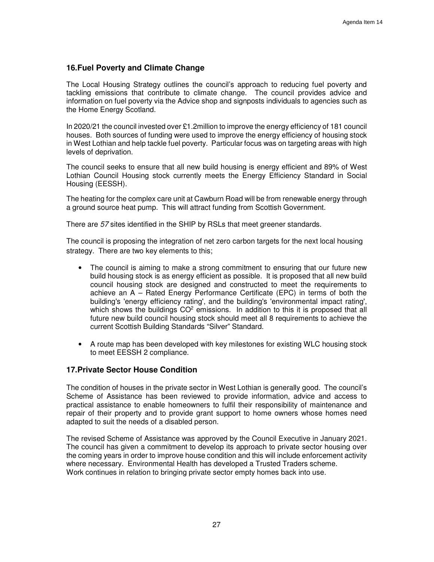# **16.Fuel Poverty and Climate Change**

The Local Housing Strategy outlines the council's approach to reducing fuel poverty and tackling emissions that contribute to climate change. The council provides advice and information on fuel poverty via the Advice shop and signposts individuals to agencies such as the Home Energy Scotland.

In 2020/21 the council invested over £1.2million to improve the energy efficiency of 181 council houses. Both sources of funding were used to improve the energy efficiency of housing stock in West Lothian and help tackle fuel poverty. Particular focus was on targeting areas with high levels of deprivation.

The council seeks to ensure that all new build housing is energy efficient and 89% of West Lothian Council Housing stock currently meets the Energy Efficiency Standard in Social Housing (EESSH).

The heating for the complex care unit at Cawburn Road will be from renewable energy through a ground source heat pump. This will attract funding from Scottish Government.

There are 57 sites identified in the SHIP by RSLs that meet greener standards.

The council is proposing the integration of net zero carbon targets for the next local housing strategy. There are two key elements to this;

- The council is aiming to make a strong commitment to ensuring that our future new build housing stock is as energy efficient as possible. It is proposed that all new build council housing stock are designed and constructed to meet the requirements to achieve an A – Rated Energy Performance Certificate (EPC) in terms of both the building's 'energy efficiency rating', and the building's 'environmental impact rating', which shows the buildings  $CO<sup>2</sup>$  emissions. In addition to this it is proposed that all future new build council housing stock should meet all 8 requirements to achieve the current Scottish Building Standards "Silver" Standard.
- A route map has been developed with key milestones for existing WLC housing stock to meet EESSH 2 compliance.

# **17.Private Sector House Condition**

The condition of houses in the private sector in West Lothian is generally good. The council's Scheme of Assistance has been reviewed to provide information, advice and access to practical assistance to enable homeowners to fulfil their responsibility of maintenance and repair of their property and to provide grant support to home owners whose homes need adapted to suit the needs of a disabled person.

The revised Scheme of Assistance was approved by the Council Executive in January 2021. The council has given a commitment to develop its approach to private sector housing over the coming years in order to improve house condition and this will include enforcement activity where necessary. Environmental Health has developed a Trusted Traders scheme. Work continues in relation to bringing private sector empty homes back into use.